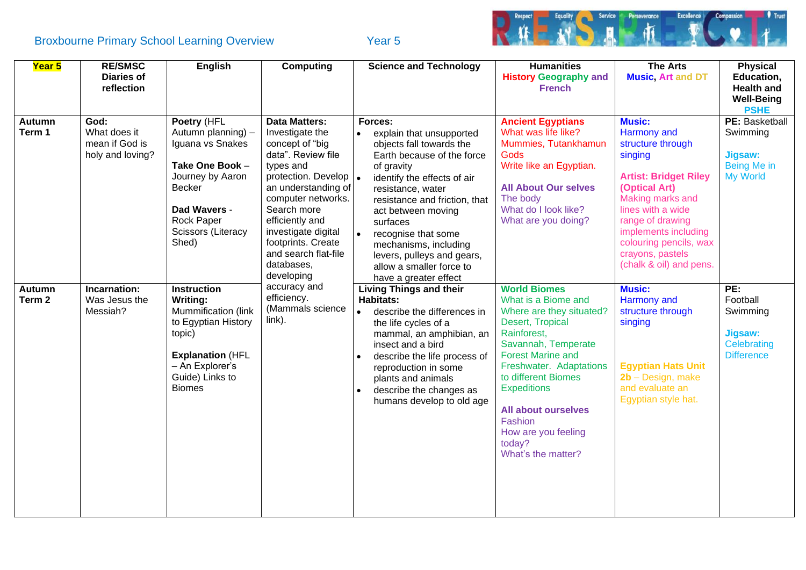Broxbourne Primary School Learning Overview Year 5



| Year 5                             | <b>RE/SMSC</b><br><b>Diaries of</b><br>reflection          | <b>English</b>                                                                                                                                                           | <b>Computing</b>                                                                                                                                                                                                                                                                                        | <b>Science and Technology</b>                                                                                                                                                                                                                                                                                                                                                                   | <b>Humanities</b><br><b>History Geography and</b><br><b>French</b>                                                                                                                                                                                                                                                                   | <b>The Arts</b><br><b>Music, Art and DT</b>                                                                                                                                                                                                                                 | <b>Physical</b><br>Education,<br><b>Health and</b><br><b>Well-Being</b><br><b>PSHE</b> |
|------------------------------------|------------------------------------------------------------|--------------------------------------------------------------------------------------------------------------------------------------------------------------------------|---------------------------------------------------------------------------------------------------------------------------------------------------------------------------------------------------------------------------------------------------------------------------------------------------------|-------------------------------------------------------------------------------------------------------------------------------------------------------------------------------------------------------------------------------------------------------------------------------------------------------------------------------------------------------------------------------------------------|--------------------------------------------------------------------------------------------------------------------------------------------------------------------------------------------------------------------------------------------------------------------------------------------------------------------------------------|-----------------------------------------------------------------------------------------------------------------------------------------------------------------------------------------------------------------------------------------------------------------------------|----------------------------------------------------------------------------------------|
| <b>Autumn</b><br>Term 1            | God:<br>What does it<br>mean if God is<br>holy and loving? | Poetry (HFL<br>Autumn planning) -<br>Iguana vs Snakes<br>Take One Book -<br>Journey by Aaron<br>Becker<br>Dad Wavers -<br>Rock Paper<br>Scissors (Literacy<br>Shed)      | <b>Data Matters:</b><br>Investigate the<br>concept of "big<br>data". Review file<br>types and<br>protection. Develop  .<br>an understanding of<br>computer networks.<br>Search more<br>efficiently and<br>investigate digital<br>footprints. Create<br>and search flat-file<br>databases,<br>developing | Forces:<br>explain that unsupported<br>$\bullet$<br>objects fall towards the<br>Earth because of the force<br>of gravity<br>identify the effects of air<br>resistance, water<br>resistance and friction, that<br>act between moving<br>surfaces<br>recognise that some<br>$\bullet$<br>mechanisms, including<br>levers, pulleys and gears,<br>allow a smaller force to<br>have a greater effect | <b>Ancient Egyptians</b><br>What was life like?<br>Mummies, Tutankhamun<br>Gods<br>Write like an Egyptian.<br><b>All About Our selves</b><br>The body<br>What do I look like?<br>What are you doing?                                                                                                                                 | <b>Music:</b><br>Harmony and<br>structure through<br>singing<br><b>Artist: Bridget Riley</b><br>(Optical Art)<br>Making marks and<br>lines with a wide<br>range of drawing<br>implements including<br>colouring pencils, wax<br>crayons, pastels<br>(chalk & oil) and pens. | PE: Basketball<br>Swimming<br><b>Jigsaw:</b><br>Being Me in<br><b>My World</b>         |
| <b>Autumn</b><br>Term <sub>2</sub> | Incarnation:<br>Was Jesus the<br>Messiah?                  | <b>Instruction</b><br>Writing:<br>Mummification (link<br>to Egyptian History<br>topic)<br><b>Explanation (HFL</b><br>- An Explorer's<br>Guide) Links to<br><b>Biomes</b> | accuracy and<br>efficiency.<br>(Mammals science<br>link).                                                                                                                                                                                                                                               | <b>Living Things and their</b><br><b>Habitats:</b><br>describe the differences in<br>$\bullet$<br>the life cycles of a<br>mammal, an amphibian, an<br>insect and a bird<br>describe the life process of<br>reproduction in some<br>plants and animals<br>describe the changes as<br>humans develop to old age                                                                                   | <b>World Biomes</b><br>What is a Biome and<br>Where are they situated?<br>Desert, Tropical<br>Rainforest,<br>Savannah, Temperate<br><b>Forest Marine and</b><br>Freshwater. Adaptations<br>to different Biomes<br><b>Expeditions</b><br><b>All about ourselves</b><br>Fashion<br>How are you feeling<br>today?<br>What's the matter? | <b>Music:</b><br>Harmony and<br>structure through<br>singing<br><b>Egyptian Hats Unit</b><br>2b - Design, make<br>and evaluate an<br>Egyptian style hat.                                                                                                                    | PE:<br>Football<br>Swimming<br><b>Jigsaw:</b><br>Celebrating<br><b>Difference</b>      |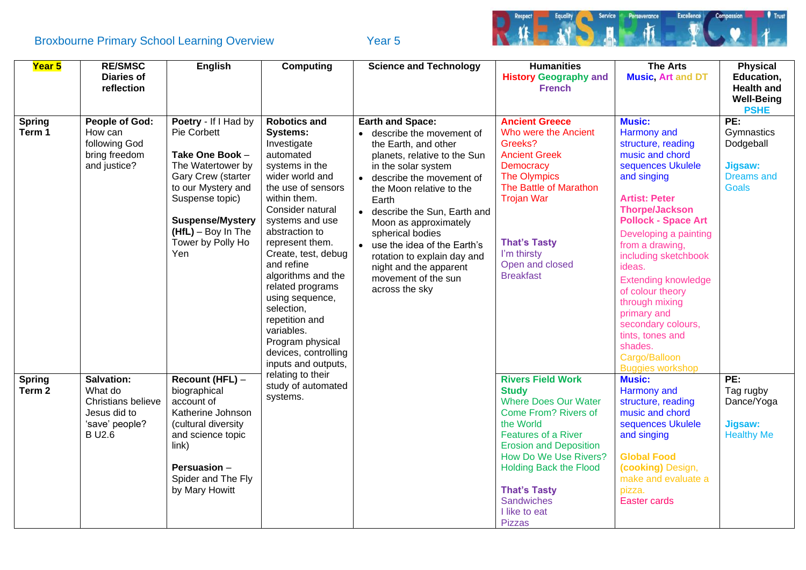# Broxbourne Primary School Learning Overview Year 5



| Year 5                             | <b>RE/SMSC</b><br><b>Diaries of</b><br>reflection                                             | <b>English</b>                                                                                                                                                                                                            | <b>Computing</b>                                                                                                                                                                                                                                                                                                                                                                                                                             | <b>Science and Technology</b>                                                                                                                                                                                                                                                                                                                                                                 | <b>Humanities</b><br><b>History Geography and</b><br><b>French</b>                                                                                                                                                                                                                                                         | <b>The Arts</b><br><b>Music, Art and DT</b>                                                                                                                                                                                                                                                                                                                                                                                                                | <b>Physical</b><br>Education,<br><b>Health and</b><br><b>Well-Being</b><br><b>PSHE</b> |
|------------------------------------|-----------------------------------------------------------------------------------------------|---------------------------------------------------------------------------------------------------------------------------------------------------------------------------------------------------------------------------|----------------------------------------------------------------------------------------------------------------------------------------------------------------------------------------------------------------------------------------------------------------------------------------------------------------------------------------------------------------------------------------------------------------------------------------------|-----------------------------------------------------------------------------------------------------------------------------------------------------------------------------------------------------------------------------------------------------------------------------------------------------------------------------------------------------------------------------------------------|----------------------------------------------------------------------------------------------------------------------------------------------------------------------------------------------------------------------------------------------------------------------------------------------------------------------------|------------------------------------------------------------------------------------------------------------------------------------------------------------------------------------------------------------------------------------------------------------------------------------------------------------------------------------------------------------------------------------------------------------------------------------------------------------|----------------------------------------------------------------------------------------|
| <b>Spring</b><br>Term 1            | <b>People of God:</b><br>How can<br>following God<br>bring freedom<br>and justice?            | Poetry - If I Had by<br>Pie Corbett<br>Take One Book -<br>The Watertower by<br>Gary Crew (starter<br>to our Mystery and<br>Suspense topic)<br><b>Suspense/Mystery</b><br>$(HfL) - Boy In The$<br>Tower by Polly Ho<br>Yen | <b>Robotics and</b><br><b>Systems:</b><br>Investigate<br>automated<br>systems in the<br>wider world and<br>the use of sensors<br>within them.<br>Consider natural<br>systems and use<br>abstraction to<br>represent them.<br>Create, test, debug<br>and refine<br>algorithms and the<br>related programs<br>using sequence,<br>selection,<br>repetition and<br>variables.<br>Program physical<br>devices, controlling<br>inputs and outputs, | • describe the movement of<br>the Earth, and other<br>planets, relative to the Sun<br>in the solar system<br>• describe the movement of<br>the Moon relative to the<br>Earth<br>• describe the Sun, Earth and<br>Moon as approximately<br>spherical bodies<br>• use the idea of the Earth's<br>rotation to explain day and<br>night and the apparent<br>movement of the sun<br>across the sky | <b>Ancient Greece</b><br>Who were the Ancient<br>Greeks?<br><b>Ancient Greek</b><br><b>Democracy</b><br><b>The Olympics</b><br>The Battle of Marathon<br><b>Trojan War</b><br><b>That's Tasty</b><br>I'm thirsty<br>Open and closed<br><b>Breakfast</b>                                                                    | <b>Music:</b><br>Harmony and<br>structure, reading<br>music and chord<br>sequences Ukulele<br>and singing<br><b>Artist: Peter</b><br><b>Thorpe/Jackson</b><br><b>Pollock - Space Art</b><br>Developing a painting<br>from a drawing,<br>including sketchbook<br>ideas.<br><b>Extending knowledge</b><br>of colour theory<br>through mixing<br>primary and<br>secondary colours,<br>tints, tones and<br>shades.<br>Cargo/Balloon<br><b>Buggies workshop</b> | PE:<br>Gymnastics<br>Dodgeball<br><b>Jigsaw:</b><br><b>Dreams and</b><br><b>Goals</b>  |
| <b>Spring</b><br>Term <sub>2</sub> | Salvation:<br>What do<br>Christians believe<br>Jesus did to<br>'save' people?<br><b>BU2.6</b> | Recount (HFL) -<br>biographical<br>account of<br>Katherine Johnson<br>(cultural diversity<br>and science topic<br>link)<br>Persuasion -<br>Spider and The Fly<br>by Mary Howitt                                           | relating to their<br>study of automated<br>systems.                                                                                                                                                                                                                                                                                                                                                                                          |                                                                                                                                                                                                                                                                                                                                                                                               | <b>Rivers Field Work</b><br><b>Study</b><br><b>Where Does Our Water</b><br><b>Come From? Rivers of</b><br>the World<br><b>Features of a River</b><br><b>Erosion and Deposition</b><br>How Do We Use Rivers?<br><b>Holding Back the Flood</b><br><b>That's Tasty</b><br><b>Sandwiches</b><br>I like to eat<br><b>Pizzas</b> | <b>Music:</b><br>Harmony and<br>structure, reading<br>music and chord<br>sequences Ukulele<br>and singing<br><b>Global Food</b><br>(cooking) Design,<br>make and evaluate a<br>pizza.<br><b>Easter cards</b>                                                                                                                                                                                                                                               | PE:<br>Tag rugby<br>Dance/Yoga<br><b>Jigsaw:</b><br><b>Healthy Me</b>                  |